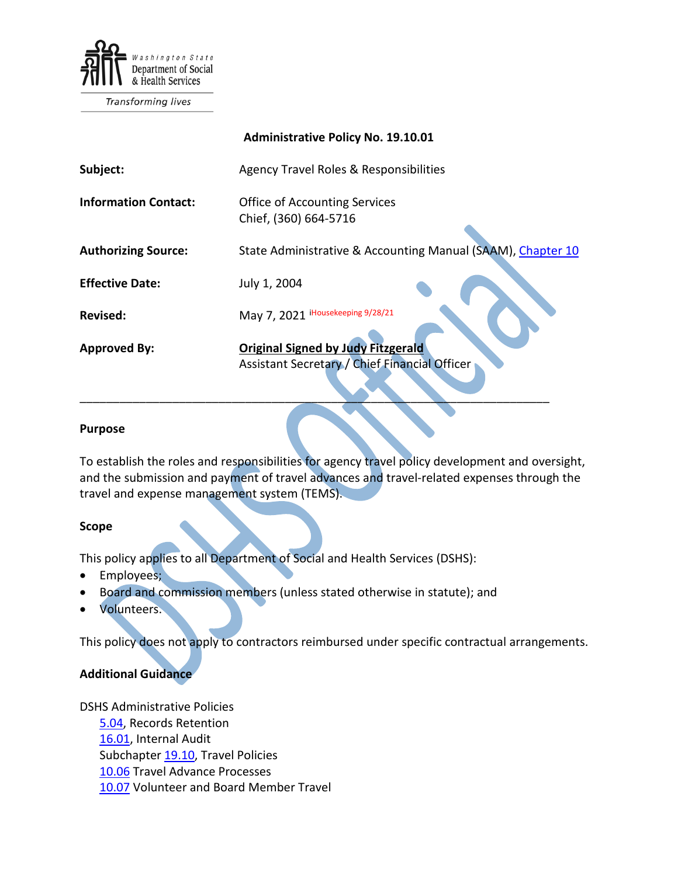

Transforming lives

|                             | <b>Administrative Policy No. 19.10.01</b>                                                  |
|-----------------------------|--------------------------------------------------------------------------------------------|
| Subject:                    | Agency Travel Roles & Responsibilities                                                     |
| <b>Information Contact:</b> | <b>Office of Accounting Services</b><br>Chief, (360) 664-5716                              |
| <b>Authorizing Source:</b>  | State Administrative & Accounting Manual (SAAM), Chapter 10                                |
| <b>Effective Date:</b>      | July 1, 2004                                                                               |
| <b>Revised:</b>             | May 7, 2021 iHousekeeping 9/28/21                                                          |
| <b>Approved By:</b>         | <b>Original Signed by Judy Fitzgerald</b><br>Assistant Secretary / Chief Financial Officer |

#### **Purpose**

To establish the roles and responsibilities for agency travel policy development and oversight, and the submission and payment of travel advances and travel-related expenses through the travel and expense management system (TEMS).

#### **Scope**

This policy applies to all Department of Social and Health Services (DSHS):

- Employees;
- Board and commission members (unless stated otherwise in statute); and
- Volunteers.

This policy does not apply to contractors reimbursed under specific contractual arrangements.

### **Additional Guidance**

DSHS Administrative Policies [5.04,](http://one.dshs.wa.lcl/Policies/Administrative/DSHS-AP-05-04.pdf) Records Retention [16.01,](http://one.dshs.wa.lcl/Policies/Administrative/DSHS-AP-16-01.pdf) Internal Audit Subchapter [19.10,](http://one.dshs.wa.lcl/policies/Pages/default.aspx) Travel Policies [10.06](http://one.dshs.wa.lcl/Policies/Administrative/DSHS-AP-19-10-06.pdf) Travel Advance Processes [10.07](http://one.dshs.wa.lcl/Policies/Administrative/DSHS-AP-19-10-07.pdf) Volunteer and Board Member Travel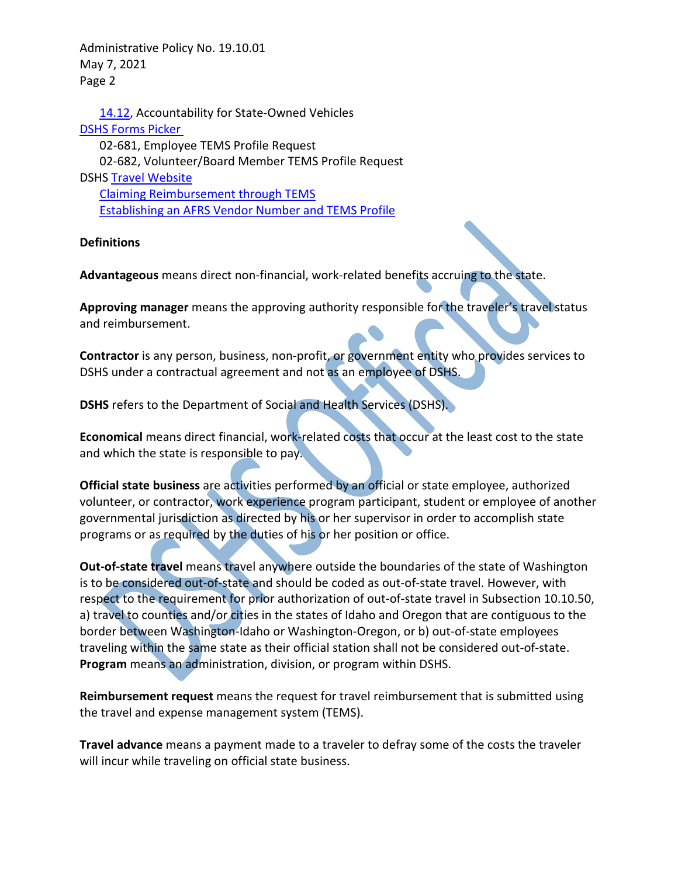Administrative Policy No. 19.10.01 May 7, 2021 Page 2

[14.12,](http://one.dshs.wa.lcl/Policies/Administrative/DSHS-AP-14-12.pdf) Accountability for State-Owned Vehicles [DSHS Forms Picker](http://forms.dshs.wa.lcl/)  02-681, Employee TEMS Profile Request 02-682, Volunteer/Board Member TEMS Profile Request DSHS [Travel Website](http://one.dshs.wa.lcl/FS/Fiscal/Accounting/Travel/Pages/default.aspx) [Claiming Reimbursement through TEMS](http://one.dshs.wa.lcl/FS/Fiscal/Accounting/Travel/Documents/Forms/AllItems.aspx) [Establishing an AFRS Vendor Number and TEMS Profile](http://one.dshs.wa.lcl/FS/Fiscal/Accounting/Travel/Volunteers/Forms/AllItems.aspx)

#### **Definitions**

**Advantageous** means direct non-financial, work-related benefits accruing to the state.

**Approving manager** means the approving authority responsible for the traveler's travel status and reimbursement.

**Contractor** is any person, business, non-profit, or government entity who provides services to DSHS under a contractual agreement and not as an employee of DSHS.

**DSHS** refers to the Department of Social and Health Services (DSHS).

**Economical** means direct financial, work-related costs that occur at the least cost to the state and which the state is responsible to pay.

**Official state business** are activities performed by an official or state employee, authorized volunteer, or contractor, work experience program participant, student or employee of another governmental jurisdiction as directed by his or her supervisor in order to accomplish state programs or as required by the duties of his or her position or office.

**Out-of-state travel** means travel anywhere outside the boundaries of the state of Washington is to be considered out-of-state and should be coded as out-of-state travel. However, with respect to the requirement for prior authorization of out-of-state travel in Subsection 10.10.50, a) travel to counties and/or cities in the states of Idaho and Oregon that are contiguous to the border between Washington-Idaho or Washington-Oregon, or b) out-of-state employees traveling within the same state as their official station shall not be considered out-of-state. **Program** means an administration, division, or program within DSHS.

**Reimbursement request** means the request for travel reimbursement that is submitted using the travel and expense management system (TEMS).

**Travel advance** means a payment made to a traveler to defray some of the costs the traveler will incur while traveling on official state business.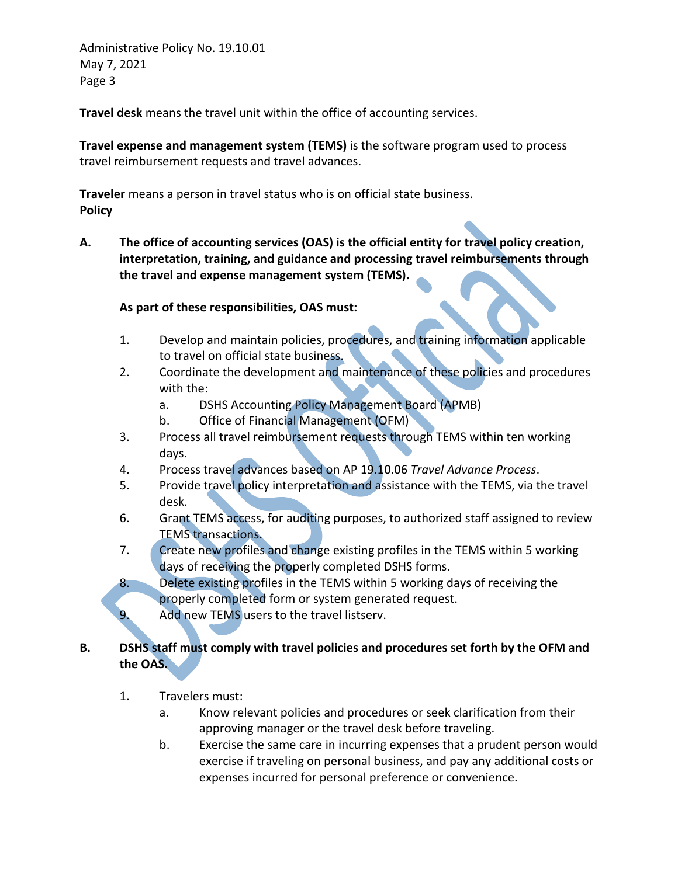Administrative Policy No. 19.10.01 May 7, 2021 Page 3

**Travel desk** means the travel unit within the office of accounting services.

**Travel expense and management system (TEMS)** is the software program used to process travel reimbursement requests and travel advances.

**Traveler** means a person in travel status who is on official state business. **Policy**

**A. The office of accounting services (OAS) is the official entity for travel policy creation, interpretation, training, and guidance and processing travel reimbursements through the travel and expense management system (TEMS).** 

### **As part of these responsibilities, OAS must:**

- 1. Develop and maintain policies, procedures, and training information applicable to travel on official state business.
- 2. Coordinate the development and maintenance of these policies and procedures with the:
	- a. DSHS Accounting Policy Management Board (APMB)
	- b. Office of Financial Management (OFM)
- 3. Process all travel reimbursement requests through TEMS within ten working days.
- 4. Process travel advances based on AP 19.10.06 *Travel Advance Process*.
- 5. Provide travel policy interpretation and assistance with the TEMS, via the travel desk.
- 6. Grant TEMS access, for auditing purposes, to authorized staff assigned to review TEMS transactions.
- 7. Create new profiles and change existing profiles in the TEMS within 5 working days of receiving the properly completed DSHS forms.
- 8. Delete existing profiles in the TEMS within 5 working days of receiving the properly completed form or system generated request.
- 9. Add new TEMS users to the travel listserv.

# **B. DSHS staff must comply with travel policies and procedures set forth by the OFM and the OAS.**

- 1. Travelers must:
	- a. Know relevant policies and procedures or seek clarification from their approving manager or the travel desk before traveling.
	- b. Exercise the same care in incurring expenses that a prudent person would exercise if traveling on personal business, and pay any additional costs or expenses incurred for personal preference or convenience.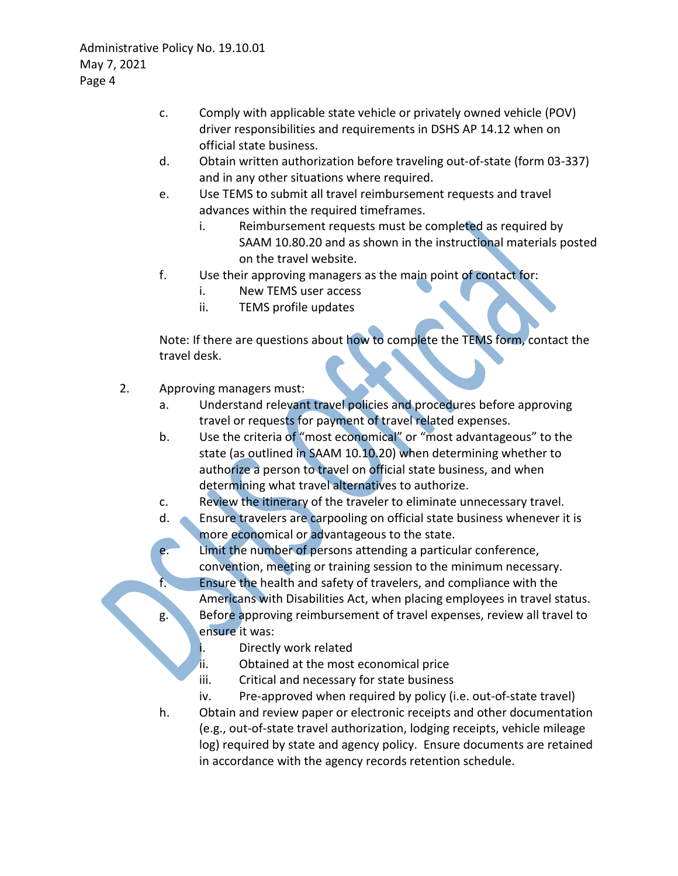- c. Comply with applicable state vehicle or privately owned vehicle (POV) driver responsibilities and requirements in DSHS AP 14.12 when on official state business.
- d. Obtain written authorization before traveling out-of-state (form 03-337) and in any other situations where required.
- e. Use TEMS to submit all travel reimbursement requests and travel advances within the required timeframes.
	- i. Reimbursement requests must be completed as required by SAAM 10.80.20 and as shown in the instructional materials posted on the travel website.
- f. Use their approving managers as the main point of contact for:
	- i. New TEMS user access
	- ii. TEMS profile updates

Note: If there are questions about how to complete the TEMS form, contact the travel desk.

- 2. Approving managers must:
	- a. Understand relevant travel policies and procedures before approving travel or requests for payment of travel related expenses.
	- b. Use the criteria of "most economical" or "most advantageous" to the state (as outlined in SAAM 10.10.20) when determining whether to authorize a person to travel on official state business, and when determining what travel alternatives to authorize.
	- c. Review the itinerary of the traveler to eliminate unnecessary travel.
	- d. Ensure travelers are carpooling on official state business whenever it is more economical or advantageous to the state.
	- e. Limit the number of persons attending a particular conference, convention, meeting or training session to the minimum necessary.
		- Ensure the health and safety of travelers, and compliance with the
	- Americans with Disabilities Act, when placing employees in travel status. g. Before approving reimbursement of travel expenses, review all travel to ensure it was:
		- i. Directly work related
		- ii. Obtained at the most economical price
		- iii. Critical and necessary for state business
		- iv. Pre-approved when required by policy (i.e. out-of-state travel)
	- h. Obtain and review paper or electronic receipts and other documentation (e.g., out-of-state travel authorization, lodging receipts, vehicle mileage log) required by state and agency policy. Ensure documents are retained in accordance with the agency records retention schedule.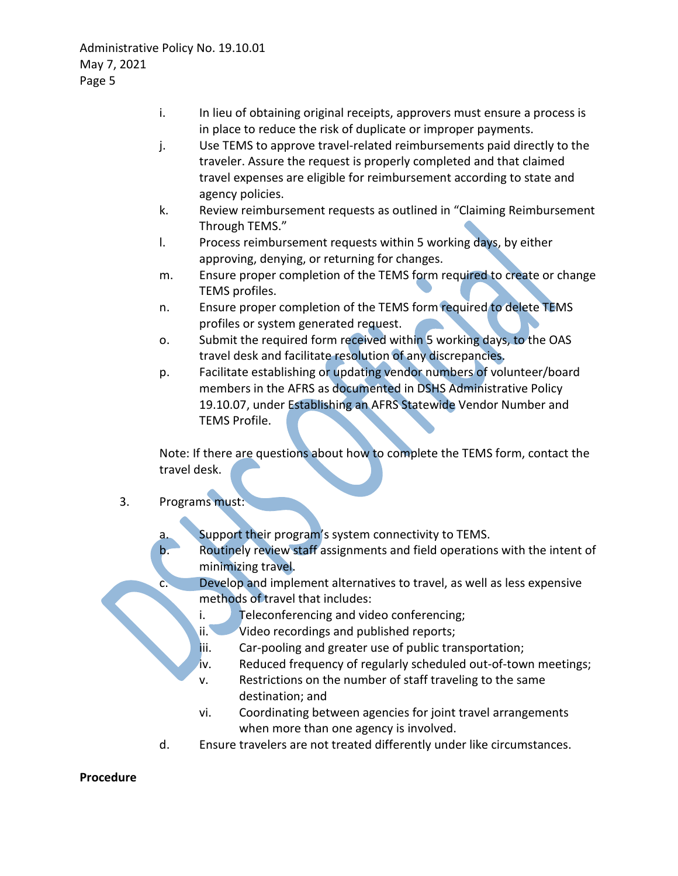- i. In lieu of obtaining original receipts, approvers must ensure a process is in place to reduce the risk of duplicate or improper payments.
- j. Use TEMS to approve travel-related reimbursements paid directly to the traveler. Assure the request is properly completed and that claimed travel expenses are eligible for reimbursement according to state and agency policies.
- k. Review reimbursement requests as outlined in "Claiming Reimbursement Through TEMS."
- l. Process reimbursement requests within 5 working days, by either approving, denying, or returning for changes.
- m. Ensure proper completion of the TEMS form required to create or change TEMS profiles.
- n. Ensure proper completion of the TEMS form required to delete TEMS profiles or system generated request.
- o. Submit the required form received within 5 working days, to the OAS travel desk and facilitate resolution of any discrepancies.
- p. Facilitate establishing or updating vendor numbers of volunteer/board members in the AFRS as documented in DSHS Administrative Policy 19.10.07, under Establishing an AFRS Statewide Vendor Number and TEMS Profile.

Note: If there are questions about how to complete the TEMS form, contact the travel desk.

# 3. Programs must:

- a. Support their program's system connectivity to TEMS.
- b. Routinely review staff assignments and field operations with the intent of minimizing travel.
	- Develop and implement alternatives to travel, as well as less expensive methods of travel that includes:
	- i. Teleconferencing and video conferencing;
	- ii. Video recordings and published reports;
	- iii. Car-pooling and greater use of public transportation;
	- iv. Reduced frequency of regularly scheduled out-of-town meetings;
	- v. Restrictions on the number of staff traveling to the same destination; and
	- vi. Coordinating between agencies for joint travel arrangements when more than one agency is involved.
- d. Ensure travelers are not treated differently under like circumstances.

### **Procedure**